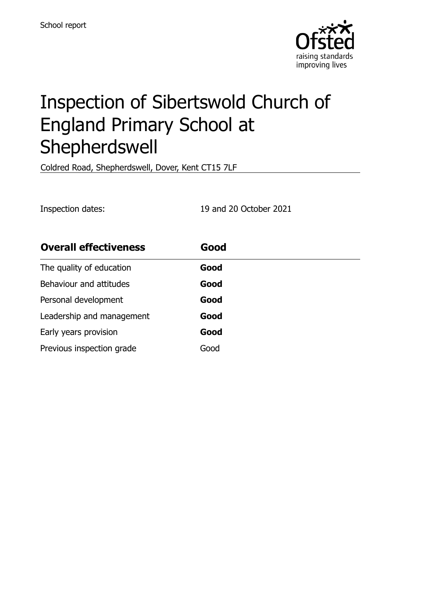

# Inspection of Sibertswold Church of England Primary School at Shepherdswell

Coldred Road, Shepherdswell, Dover, Kent CT15 7LF

Inspection dates: 19 and 20 October 2021

| <b>Overall effectiveness</b> | Good |
|------------------------------|------|
| The quality of education     | Good |
| Behaviour and attitudes      | Good |
| Personal development         | Good |
| Leadership and management    | Good |
| Early years provision        | Good |
| Previous inspection grade    | Good |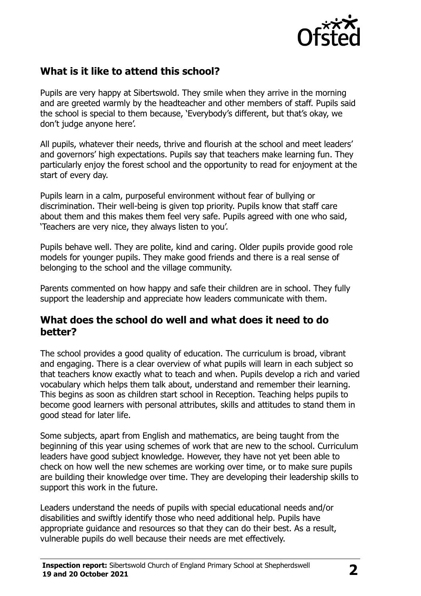

# **What is it like to attend this school?**

Pupils are very happy at Sibertswold. They smile when they arrive in the morning and are greeted warmly by the headteacher and other members of staff. Pupils said the school is special to them because, 'Everybody's different, but that's okay, we don't judge anyone here'.

All pupils, whatever their needs, thrive and flourish at the school and meet leaders' and governors' high expectations. Pupils say that teachers make learning fun. They particularly enjoy the forest school and the opportunity to read for enjoyment at the start of every day.

Pupils learn in a calm, purposeful environment without fear of bullying or discrimination. Their well-being is given top priority. Pupils know that staff care about them and this makes them feel very safe. Pupils agreed with one who said, 'Teachers are very nice, they always listen to you'.

Pupils behave well. They are polite, kind and caring. Older pupils provide good role models for younger pupils. They make good friends and there is a real sense of belonging to the school and the village community.

Parents commented on how happy and safe their children are in school. They fully support the leadership and appreciate how leaders communicate with them.

#### **What does the school do well and what does it need to do better?**

The school provides a good quality of education. The curriculum is broad, vibrant and engaging. There is a clear overview of what pupils will learn in each subject so that teachers know exactly what to teach and when. Pupils develop a rich and varied vocabulary which helps them talk about, understand and remember their learning. This begins as soon as children start school in Reception. Teaching helps pupils to become good learners with personal attributes, skills and attitudes to stand them in good stead for later life.

Some subjects, apart from English and mathematics, are being taught from the beginning of this year using schemes of work that are new to the school. Curriculum leaders have good subject knowledge. However, they have not yet been able to check on how well the new schemes are working over time, or to make sure pupils are building their knowledge over time. They are developing their leadership skills to support this work in the future.

Leaders understand the needs of pupils with special educational needs and/or disabilities and swiftly identify those who need additional help. Pupils have appropriate guidance and resources so that they can do their best. As a result, vulnerable pupils do well because their needs are met effectively.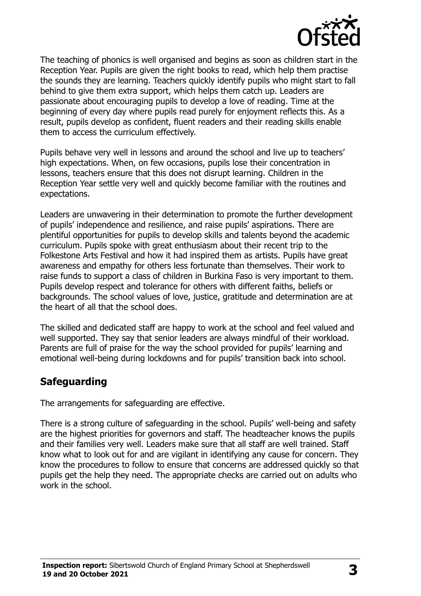

The teaching of phonics is well organised and begins as soon as children start in the Reception Year. Pupils are given the right books to read, which help them practise the sounds they are learning. Teachers quickly identify pupils who might start to fall behind to give them extra support, which helps them catch up. Leaders are passionate about encouraging pupils to develop a love of reading. Time at the beginning of every day where pupils read purely for enjoyment reflects this. As a result, pupils develop as confident, fluent readers and their reading skills enable them to access the curriculum effectively.

Pupils behave very well in lessons and around the school and live up to teachers' high expectations. When, on few occasions, pupils lose their concentration in lessons, teachers ensure that this does not disrupt learning. Children in the Reception Year settle very well and quickly become familiar with the routines and expectations.

Leaders are unwavering in their determination to promote the further development of pupils' independence and resilience, and raise pupils' aspirations. There are plentiful opportunities for pupils to develop skills and talents beyond the academic curriculum. Pupils spoke with great enthusiasm about their recent trip to the Folkestone Arts Festival and how it had inspired them as artists. Pupils have great awareness and empathy for others less fortunate than themselves. Their work to raise funds to support a class of children in Burkina Faso is very important to them. Pupils develop respect and tolerance for others with different faiths, beliefs or backgrounds. The school values of love, justice, gratitude and determination are at the heart of all that the school does.

The skilled and dedicated staff are happy to work at the school and feel valued and well supported. They say that senior leaders are always mindful of their workload. Parents are full of praise for the way the school provided for pupils' learning and emotional well-being during lockdowns and for pupils' transition back into school.

# **Safeguarding**

The arrangements for safeguarding are effective.

There is a strong culture of safeguarding in the school. Pupils' well-being and safety are the highest priorities for governors and staff. The headteacher knows the pupils and their families very well. Leaders make sure that all staff are well trained. Staff know what to look out for and are vigilant in identifying any cause for concern. They know the procedures to follow to ensure that concerns are addressed quickly so that pupils get the help they need. The appropriate checks are carried out on adults who work in the school.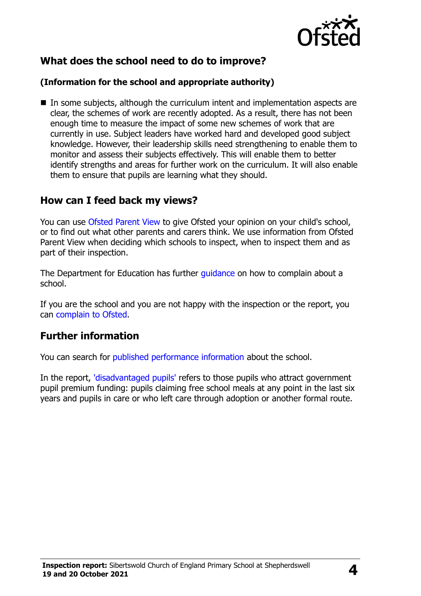

# **What does the school need to do to improve?**

#### **(Information for the school and appropriate authority)**

■ In some subjects, although the curriculum intent and implementation aspects are clear, the schemes of work are recently adopted. As a result, there has not been enough time to measure the impact of some new schemes of work that are currently in use. Subject leaders have worked hard and developed good subject knowledge. However, their leadership skills need strengthening to enable them to monitor and assess their subjects effectively. This will enable them to better identify strengths and areas for further work on the curriculum. It will also enable them to ensure that pupils are learning what they should.

#### **How can I feed back my views?**

You can use [Ofsted Parent View](http://parentview.ofsted.gov.uk/) to give Ofsted your opinion on your child's school, or to find out what other parents and carers think. We use information from Ofsted Parent View when deciding which schools to inspect, when to inspect them and as part of their inspection.

The Department for Education has further quidance on how to complain about a school.

If you are the school and you are not happy with the inspection or the report, you can [complain to Ofsted.](http://www.gov.uk/complain-ofsted-report)

#### **Further information**

You can search for [published performance information](http://www.compare-school-performance.service.gov.uk/) about the school.

In the report, ['disadvantaged pupils'](http://www.gov.uk/guidance/pupil-premium-information-for-schools-and-alternative-provision-settings) refers to those pupils who attract government pupil premium funding: pupils claiming free school meals at any point in the last six years and pupils in care or who left care through adoption or another formal route.

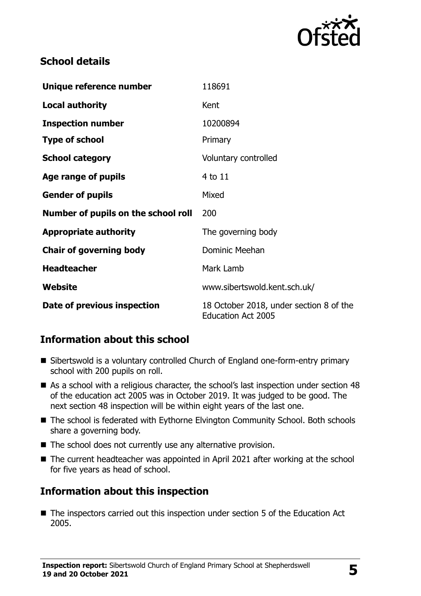

# **School details**

| Unique reference number             | 118691                                                               |
|-------------------------------------|----------------------------------------------------------------------|
| <b>Local authority</b>              | Kent                                                                 |
| <b>Inspection number</b>            | 10200894                                                             |
| <b>Type of school</b>               | Primary                                                              |
| <b>School category</b>              | Voluntary controlled                                                 |
| Age range of pupils                 | 4 to 11                                                              |
| <b>Gender of pupils</b>             | Mixed                                                                |
| Number of pupils on the school roll | 200                                                                  |
| <b>Appropriate authority</b>        | The governing body                                                   |
| <b>Chair of governing body</b>      | Dominic Meehan                                                       |
| <b>Headteacher</b>                  | Mark Lamb                                                            |
| Website                             | www.sibertswold.kent.sch.uk/                                         |
| Date of previous inspection         | 18 October 2018, under section 8 of the<br><b>Education Act 2005</b> |

# **Information about this school**

- Sibertswold is a voluntary controlled Church of England one-form-entry primary school with 200 pupils on roll.
- As a school with a religious character, the school's last inspection under section 48 of the education act 2005 was in October 2019. It was judged to be good. The next section 48 inspection will be within eight years of the last one.
- The school is federated with Eythorne Elvington Community School. Both schools share a governing body.
- The school does not currently use any alternative provision.
- The current headteacher was appointed in April 2021 after working at the school for five years as head of school.

# **Information about this inspection**

■ The inspectors carried out this inspection under section 5 of the Education Act 2005.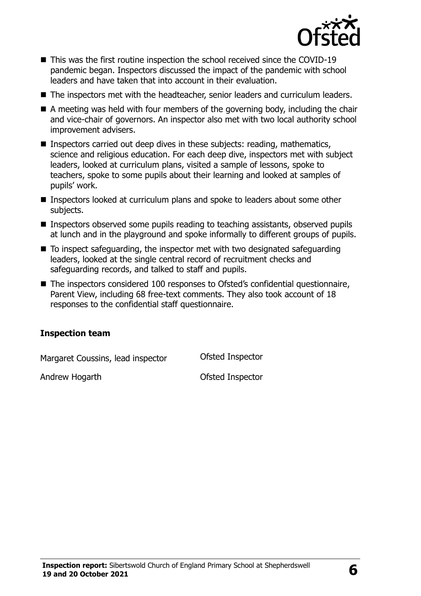

- This was the first routine inspection the school received since the COVID-19 pandemic began. Inspectors discussed the impact of the pandemic with school leaders and have taken that into account in their evaluation.
- The inspectors met with the headteacher, senior leaders and curriculum leaders.
- A meeting was held with four members of the governing body, including the chair and vice-chair of governors. An inspector also met with two local authority school improvement advisers.
- Inspectors carried out deep dives in these subjects: reading, mathematics, science and religious education. For each deep dive, inspectors met with subject leaders, looked at curriculum plans, visited a sample of lessons, spoke to teachers, spoke to some pupils about their learning and looked at samples of pupils' work.
- **Inspectors looked at curriculum plans and spoke to leaders about some other** subjects.
- Inspectors observed some pupils reading to teaching assistants, observed pupils at lunch and in the playground and spoke informally to different groups of pupils.
- To inspect safeguarding, the inspector met with two designated safeguarding leaders, looked at the single central record of recruitment checks and safeguarding records, and talked to staff and pupils.
- The inspectors considered 100 responses to Ofsted's confidential questionnaire, Parent View, including 68 free-text comments. They also took account of 18 responses to the confidential staff questionnaire.

#### **Inspection team**

Margaret Coussins, lead inspector **Ofsted Inspector** 

Andrew Hogarth **Contract Contract Contract Contract Contract Contract Contract Contract Contract Contract Contract Contract Contract Contract Contract Contract Contract Contract Contract Contract Contract Contract Contract**